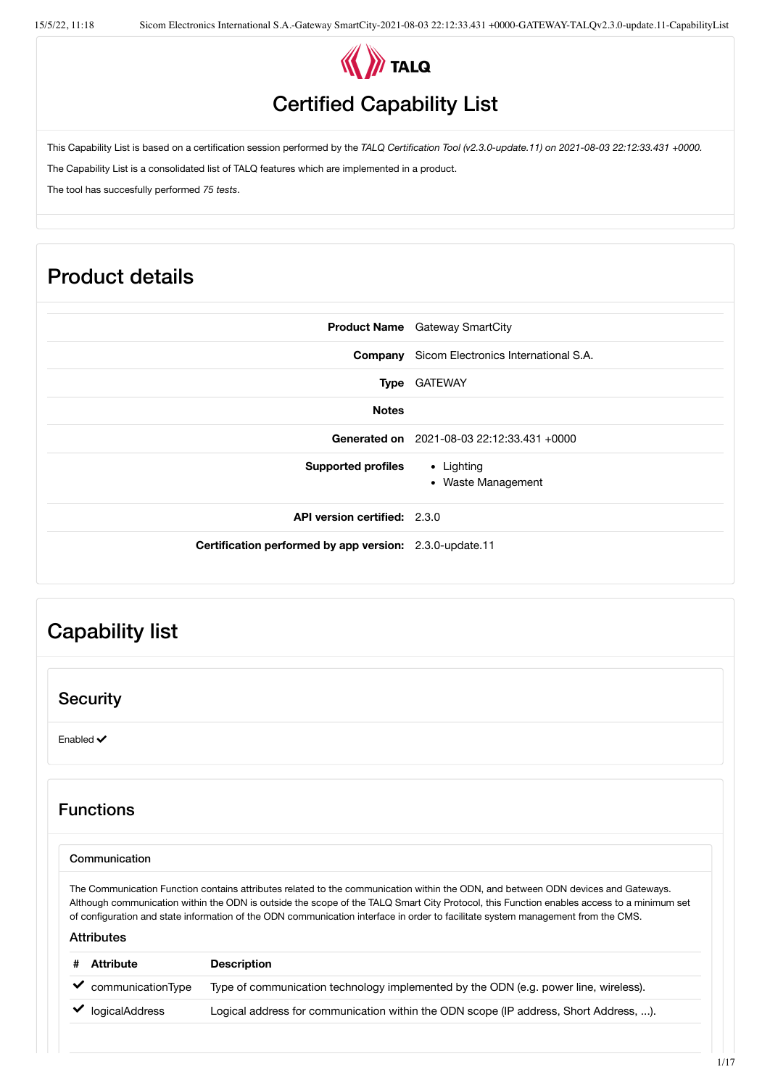

## Certified Capability List

This Capability List is based on a certification session performed by the *TALQ Certification Tool (v2.3.0-update.11) on 2021-08-03 22:12:33.431 +0000.*

The Capability List is a consolidated list of TALQ features which are implemented in a product.

The tool has succesfully performed *75 tests*.

# Product details

| <b>Product Name</b> Gateway SmartCity                         |
|---------------------------------------------------------------|
| <b>Company</b> Sicom Electronics International S.A.           |
| Type GATEWAY                                                  |
|                                                               |
| Generated on 2021-08-03 22:12:33.431 +0000                    |
| <b>Supported profiles</b><br>• Lighting<br>• Waste Management |
| <b>API version certified: 2.3.0</b>                           |
| Certification performed by app version: 2.3.0-update.11       |
|                                                               |

# Capability list

### **Security**

Enabled  $\checkmark$ 

## Functions

#### Communication

The Communication Function contains attributes related to the communication within the ODN, and between ODN devices and Gateways. Although communication within the ODN is outside the scope of the TALQ Smart City Protocol, this Function enables access to a minimum set of configuration and state information of the ODN communication interface in order to facilitate system management from the CMS.

| Attribute         | <b>Description</b>                                                                    |
|-------------------|---------------------------------------------------------------------------------------|
| communicationType | Type of communication technology implemented by the ODN (e.g. power line, wireless).  |
| logicalAddress    | Logical address for communication within the ODN scope (IP address, Short Address, ). |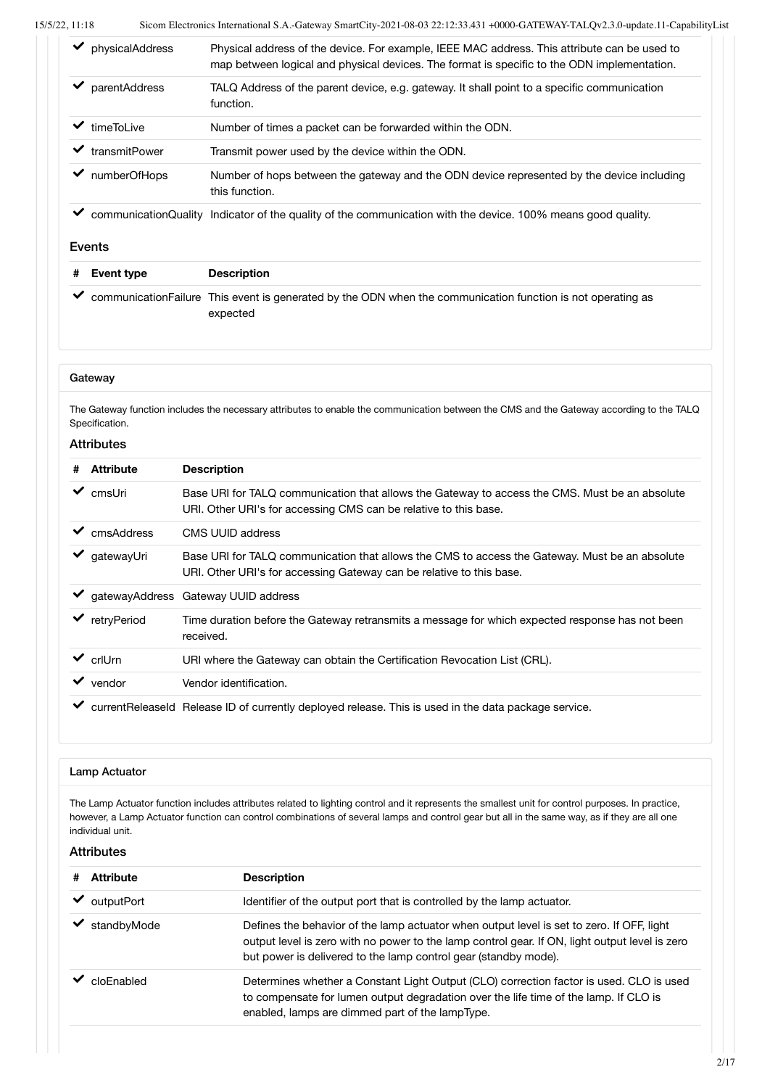| physicalAddress      | Physical address of the device. For example, IEEE MAC address. This attribute can be used to<br>map between logical and physical devices. The format is specific to the ODN implementation. |
|----------------------|---------------------------------------------------------------------------------------------------------------------------------------------------------------------------------------------|
| parentAddress        | TALQ Address of the parent device, e.g. gateway. It shall point to a specific communication<br>function.                                                                                    |
| timeTol ive          | Number of times a packet can be forwarded within the ODN.                                                                                                                                   |
| transmitPower        | Transmit power used by the device within the ODN.                                                                                                                                           |
| numberOfHops         | Number of hops between the gateway and the ODN device represented by the device including<br>this function.                                                                                 |
| communicationQuality | Indicator of the quality of the communication with the device. 100% means good quality.                                                                                                     |

#### Events

| # Event type | <b>Description</b>                                                                                             |
|--------------|----------------------------------------------------------------------------------------------------------------|
|              | ◆ communication Failure This event is generated by the ODN when the communication function is not operating as |
|              | expected                                                                                                       |

#### **Gateway**

The Gateway function includes the necessary attributes to enable the communication between the CMS and the Gateway according to the TALQ Specification.

#### Attributes

| #            | <b>Attribute</b> | <b>Description</b>                                                                                                                                                     |
|--------------|------------------|------------------------------------------------------------------------------------------------------------------------------------------------------------------------|
| ✓            | cmsUri           | Base URI for TALQ communication that allows the Gateway to access the CMS. Must be an absolute<br>URI. Other URI's for accessing CMS can be relative to this base.     |
| ✓            | cmsAddress       | CMS UUID address                                                                                                                                                       |
| ✔            | qatewayUri       | Base URI for TALQ communication that allows the CMS to access the Gateway. Must be an absolute<br>URI. Other URI's for accessing Gateway can be relative to this base. |
|              |                  | ◆ gatewayAddress Gateway UUID address                                                                                                                                  |
|              | retryPeriod      | Time duration before the Gateway retransmits a message for which expected response has not been<br>received.                                                           |
| $\checkmark$ | crlUrn           | URI where the Gateway can obtain the Certification Revocation List (CRL).                                                                                              |
| ✓            | vendor           | Vendor identification.                                                                                                                                                 |
|              |                  | currentReleaseId Release ID of currently deployed release. This is used in the data package service.                                                                   |

#### Lamp Actuator

The Lamp Actuator function includes attributes related to lighting control and it represents the smallest unit for control purposes. In practice, however, a Lamp Actuator function can control combinations of several lamps and control gear but all in the same way, as if they are all one individual unit.

| <b>Attribute</b><br># | <b>Description</b>                                                                                                                                                                                                                                             |
|-----------------------|----------------------------------------------------------------------------------------------------------------------------------------------------------------------------------------------------------------------------------------------------------------|
| outputPort            | Identifier of the output port that is controlled by the lamp actuator.                                                                                                                                                                                         |
| standbyMode           | Defines the behavior of the lamp actuator when output level is set to zero. If OFF, light<br>output level is zero with no power to the lamp control gear. If ON, light output level is zero<br>but power is delivered to the lamp control gear (standby mode). |
| cloEnabled            | Determines whether a Constant Light Output (CLO) correction factor is used. CLO is used<br>to compensate for lumen output degradation over the life time of the lamp. If CLO is<br>enabled, lamps are dimmed part of the lampType.                             |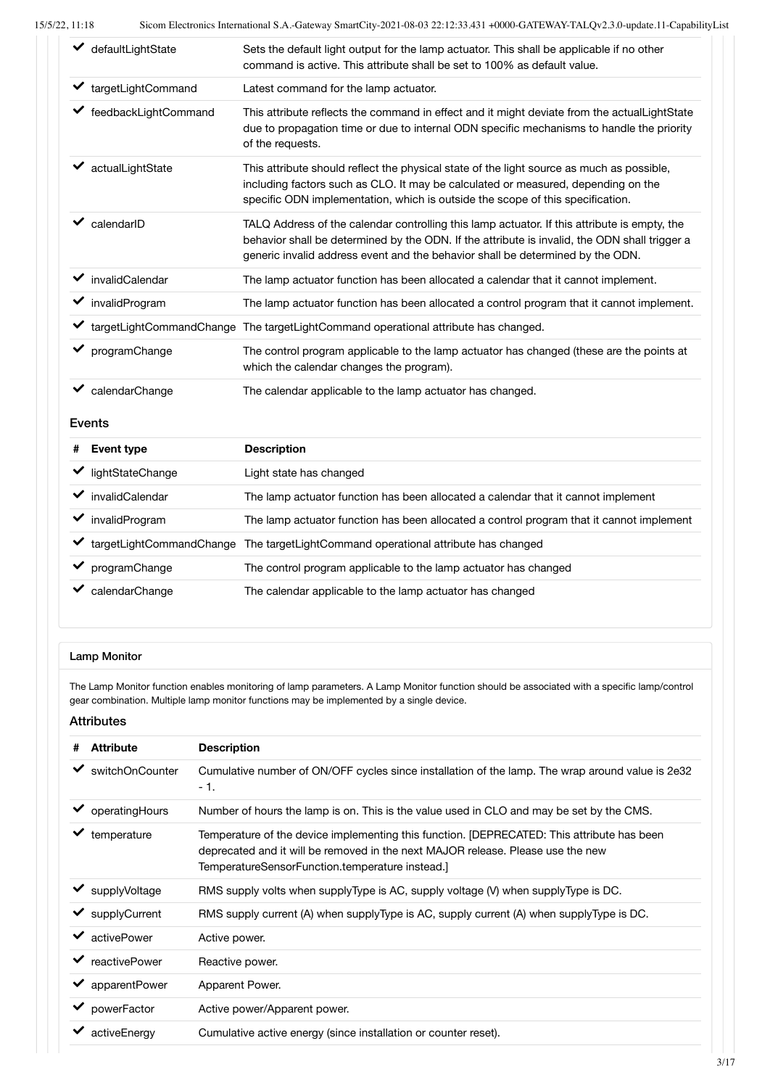| defaultLightState    | Sets the default light output for the lamp actuator. This shall be applicable if no other<br>command is active. This attribute shall be set to 100% as default value.                                                                                                           |
|----------------------|---------------------------------------------------------------------------------------------------------------------------------------------------------------------------------------------------------------------------------------------------------------------------------|
| targetLightCommand   | Latest command for the lamp actuator.                                                                                                                                                                                                                                           |
| feedbackLightCommand | This attribute reflects the command in effect and it might deviate from the actualLightState<br>due to propagation time or due to internal ODN specific mechanisms to handle the priority<br>of the requests.                                                                   |
| actualLightState     | This attribute should reflect the physical state of the light source as much as possible,<br>including factors such as CLO. It may be calculated or measured, depending on the<br>specific ODN implementation, which is outside the scope of this specification.                |
| calendarID           | TALQ Address of the calendar controlling this lamp actuator. If this attribute is empty, the<br>behavior shall be determined by the ODN. If the attribute is invalid, the ODN shall trigger a<br>generic invalid address event and the behavior shall be determined by the ODN. |
| invalidCalendar      | The lamp actuator function has been allocated a calendar that it cannot implement.                                                                                                                                                                                              |
| invalidProgram<br>✔  | The lamp actuator function has been allocated a control program that it cannot implement.                                                                                                                                                                                       |
|                      | targetLightCommandChange The targetLightCommand operational attribute has changed.                                                                                                                                                                                              |
| programChange        | The control program applicable to the lamp actuator has changed (these are the points at<br>which the calendar changes the program).                                                                                                                                            |
| calendarChange       | The calendar applicable to the lamp actuator has changed.                                                                                                                                                                                                                       |

#### Events

| # | Event type       | <b>Description</b>                                                                       |
|---|------------------|------------------------------------------------------------------------------------------|
|   | lightStateChange | Light state has changed                                                                  |
|   | invalidCalendar  | The lamp actuator function has been allocated a calendar that it cannot implement        |
|   | invalidProgram   | The lamp actuator function has been allocated a control program that it cannot implement |
|   |                  | targetLightCommandChange The targetLightCommand operational attribute has changed        |
|   | programChange    | The control program applicable to the lamp actuator has changed                          |
|   | calendarChange   | The calendar applicable to the lamp actuator has changed                                 |

#### Lamp Monitor

The Lamp Monitor function enables monitoring of lamp parameters. A Lamp Monitor function should be associated with a specific lamp/control gear combination. Multiple lamp monitor functions may be implemented by a single device.

| <b>Attribute</b><br>#                | <b>Description</b>                                                                                                                                                                                                               |
|--------------------------------------|----------------------------------------------------------------------------------------------------------------------------------------------------------------------------------------------------------------------------------|
| switchOnCounter                      | Cumulative number of ON/OFF cycles since installation of the lamp. The wrap around value is 2e32<br>- 1.                                                                                                                         |
| operatingHours                       | Number of hours the lamp is on. This is the value used in CLO and may be set by the CMS.                                                                                                                                         |
| temperature                          | Temperature of the device implementing this function. [DEPRECATED: This attribute has been<br>deprecated and it will be removed in the next MAJOR release. Please use the new<br>TemperatureSensorFunction.temperature instead.] |
| $\blacktriangleright$ supply Voltage | RMS supply volts when supplyType is AC, supply voltage (V) when supplyType is DC.                                                                                                                                                |
| $\blacktriangleright$ supply Current | RMS supply current (A) when supplyType is AC, supply current (A) when supplyType is DC.                                                                                                                                          |
| activePower                          | Active power.                                                                                                                                                                                                                    |
| reactivePower                        | Reactive power.                                                                                                                                                                                                                  |
| apparentPower                        | Apparent Power.                                                                                                                                                                                                                  |
| powerFactor                          | Active power/Apparent power.                                                                                                                                                                                                     |
| activeEnergy                         | Cumulative active energy (since installation or counter reset).                                                                                                                                                                  |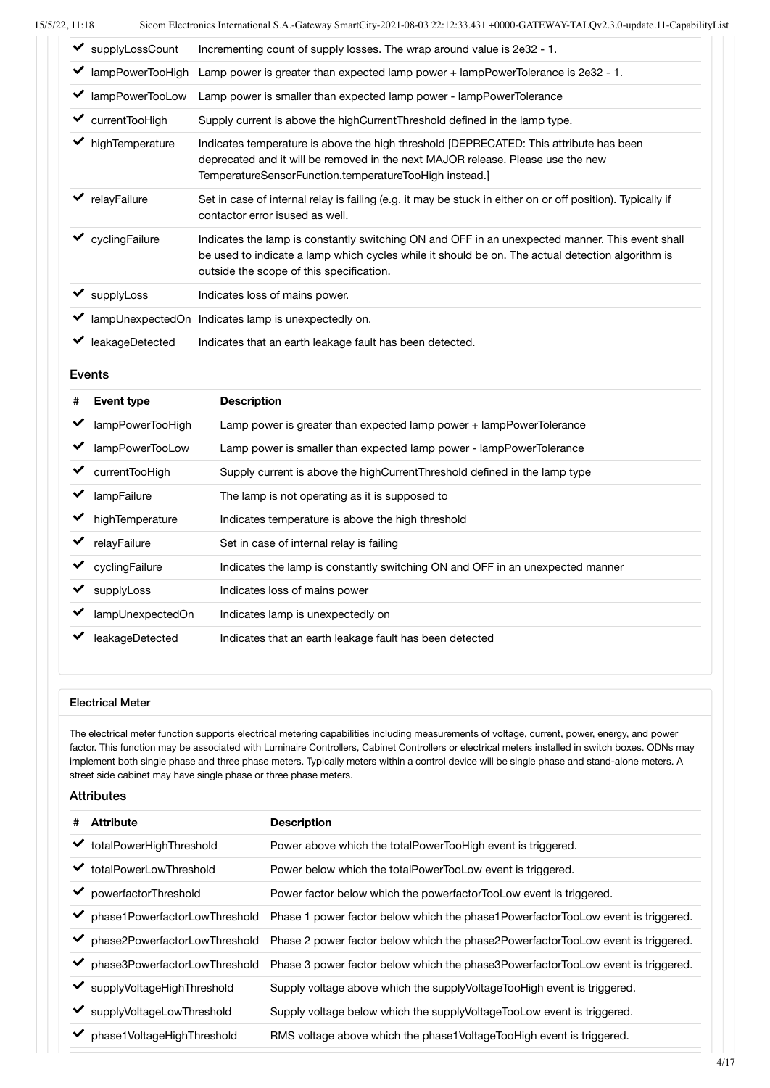| supplyLossCount  | Incrementing count of supply losses. The wrap around value is 2e32 - 1.                                                                                                                                                                         |
|------------------|-------------------------------------------------------------------------------------------------------------------------------------------------------------------------------------------------------------------------------------------------|
| lampPowerTooHigh | Lamp power is greater than expected lamp power + lampPowerTolerance is 2e32 - 1.                                                                                                                                                                |
| lampPowerTooLow  | Lamp power is smaller than expected lamp power - lampPowerTolerance                                                                                                                                                                             |
| currentTooHigh   | Supply current is above the high Current Threshold defined in the lamp type.                                                                                                                                                                    |
| highTemperature  | Indicates temperature is above the high threshold [DEPRECATED: This attribute has been<br>deprecated and it will be removed in the next MAJOR release. Please use the new<br>TemperatureSensorFunction.temperatureTooHigh instead.]             |
| relayFailure     | Set in case of internal relay is failing (e.g. it may be stuck in either on or off position). Typically if<br>contactor error isused as well.                                                                                                   |
| cyclingFailure   | Indicates the lamp is constantly switching ON and OFF in an unexpected manner. This event shall<br>be used to indicate a lamp which cycles while it should be on. The actual detection algorithm is<br>outside the scope of this specification. |
| supplyLoss       | Indicates loss of mains power.                                                                                                                                                                                                                  |
|                  | lampUnexpectedOn Indicates lamp is unexpectedly on.                                                                                                                                                                                             |
| leakageDetected  | Indicates that an earth leakage fault has been detected.                                                                                                                                                                                        |

#### Events

| # | Event type       | <b>Description</b>                                                            |
|---|------------------|-------------------------------------------------------------------------------|
|   | lampPowerTooHigh | Lamp power is greater than expected lamp power + lampPowerTolerance           |
|   | lampPowerTooLow  | Lamp power is smaller than expected lamp power - lampPowerTolerance           |
|   | currentTooHigh   | Supply current is above the high Current Threshold defined in the lamp type   |
|   | lampFailure      | The lamp is not operating as it is supposed to                                |
|   | highTemperature  | Indicates temperature is above the high threshold                             |
|   | relayFailure     | Set in case of internal relay is failing                                      |
|   | cyclingFailure   | Indicates the lamp is constantly switching ON and OFF in an unexpected manner |
|   | supplyLoss       | Indicates loss of mains power                                                 |
|   | lampUnexpectedOn | Indicates lamp is unexpectedly on                                             |
|   | leakageDetected  | Indicates that an earth leakage fault has been detected                       |

#### Electrical Meter

The electrical meter function supports electrical metering capabilities including measurements of voltage, current, power, energy, and power factor. This function may be associated with Luminaire Controllers, Cabinet Controllers or electrical meters installed in switch boxes. ODNs may implement both single phase and three phase meters. Typically meters within a control device will be single phase and stand-alone meters. A street side cabinet may have single phase or three phase meters.

| <b>Attribute</b><br>#              | <b>Description</b>                                                                  |
|------------------------------------|-------------------------------------------------------------------------------------|
| ◆ totalPowerHighThreshold          | Power above which the totalPowerTooHigh event is triggered.                         |
| totalPowerLowThreshold<br>✔        | Power below which the totalPowerTooLow event is triggered.                          |
| ✔<br>powerfactorThreshold          | Power factor below which the powerfactorTooLow event is triggered.                  |
| phase1PowerfactorLowThreshold<br>✔ | Phase 1 power factor below which the phase 1 Powerfactor TooLow event is triggered. |
| phase2PowerfactorLowThreshold<br>✔ | Phase 2 power factor below which the phase2PowerfactorTooLow event is triggered.    |
| phase3PowerfactorLowThreshold<br>✓ | Phase 3 power factor below which the phase3PowerfactorTooLow event is triggered.    |
| ✔<br>supplyVoltageHighThreshold    | Supply voltage above which the supply Voltage Too High event is triggered.          |
| supplyVoltageLowThreshold          | Supply voltage below which the supply Voltage Too Low event is triggered.           |
| phase1VoltageHighThreshold         | RMS voltage above which the phase1VoltageTooHigh event is triggered.                |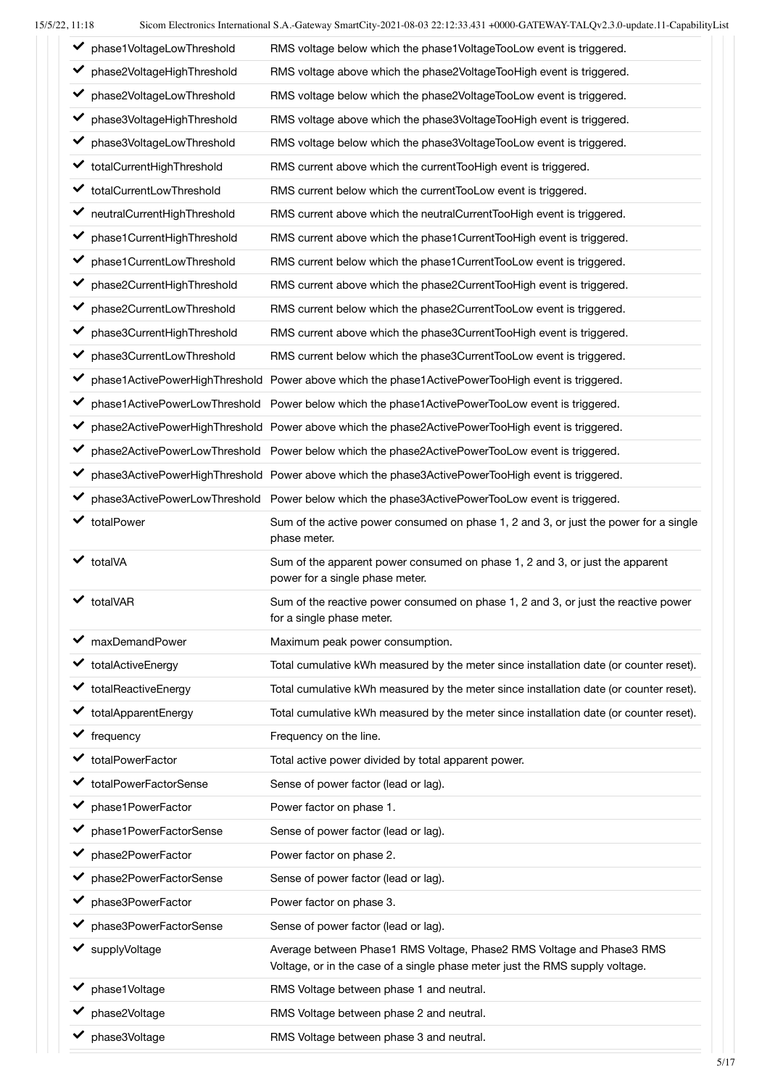| phase1VoltageLowThreshold           | RMS voltage below which the phase1VoltageTooLow event is triggered.                                                                                   |
|-------------------------------------|-------------------------------------------------------------------------------------------------------------------------------------------------------|
| phase2VoltageHighThreshold<br>✔     | RMS voltage above which the phase2VoltageTooHigh event is triggered.                                                                                  |
| phase2VoltageLowThreshold           | RMS voltage below which the phase2VoltageTooLow event is triggered.                                                                                   |
| phase3VoltageHighThreshold<br>✔     | RMS voltage above which the phase3VoltageTooHigh event is triggered.                                                                                  |
| phase3VoltageLowThreshold<br>✔      | RMS voltage below which the phase3VoltageTooLow event is triggered.                                                                                   |
| totalCurrentHighThreshold<br>✔      | RMS current above which the currentTooHigh event is triggered.                                                                                        |
| totalCurrentLowThreshold            | RMS current below which the currentTooLow event is triggered.                                                                                         |
| ← neutralCurrentHighThreshold       | RMS current above which the neutralCurrentTooHigh event is triggered.                                                                                 |
| phase1CurrentHighThreshold          | RMS current above which the phase1CurrentTooHigh event is triggered.                                                                                  |
| phase1CurrentLowThreshold           | RMS current below which the phase1CurrentTooLow event is triggered.                                                                                   |
| phase2CurrentHighThreshold          | RMS current above which the phase2CurrentTooHigh event is triggered.                                                                                  |
| phase2CurrentLowThreshold           | RMS current below which the phase2CurrentTooLow event is triggered.                                                                                   |
| phase3CurrentHighThreshold          | RMS current above which the phase3CurrentTooHigh event is triggered.                                                                                  |
| phase3CurrentLowThreshold<br>✔      | RMS current below which the phase3CurrentTooLow event is triggered.                                                                                   |
| ✔                                   | phase1ActivePowerHighThreshold Power above which the phase1ActivePowerTooHigh event is triggered.                                                     |
| ✔                                   | phase1ActivePowerLowThreshold Power below which the phase1ActivePowerTooLow event is triggered.                                                       |
| ✔                                   | phase2ActivePowerHighThreshold Power above which the phase2ActivePowerTooHigh event is triggered.                                                     |
| ✔                                   | phase2ActivePowerLowThreshold Power below which the phase2ActivePowerTooLow event is triggered.                                                       |
| ✔                                   | phase3ActivePowerHighThreshold Power above which the phase3ActivePowerTooHigh event is triggered.                                                     |
|                                     | phase3ActivePowerLowThreshold Power below which the phase3ActivePowerTooLow event is triggered.                                                       |
| v totalPower                        | Sum of the active power consumed on phase 1, 2 and 3, or just the power for a single<br>phase meter.                                                  |
| totalVA                             | Sum of the apparent power consumed on phase 1, 2 and 3, or just the apparent<br>power for a single phase meter.                                       |
| totalVAR                            | Sum of the reactive power consumed on phase 1, 2 and 3, or just the reactive power<br>for a single phase meter.                                       |
| maxDemandPower                      | Maximum peak power consumption.                                                                                                                       |
| totalActiveEnergy                   | Total cumulative kWh measured by the meter since installation date (or counter reset).                                                                |
| totalReactiveEnergy                 | Total cumulative kWh measured by the meter since installation date (or counter reset).                                                                |
| totalApparentEnergy                 | Total cumulative kWh measured by the meter since installation date (or counter reset).                                                                |
| $\blacktriangleright$ frequency     | Frequency on the line.                                                                                                                                |
| totalPowerFactor                    | Total active power divided by total apparent power.                                                                                                   |
| ✔ totalPowerFactorSense             | Sense of power factor (lead or lag).                                                                                                                  |
| phase1PowerFactor                   | Power factor on phase 1.                                                                                                                              |
| ◆ phase1PowerFactorSense            | Sense of power factor (lead or lag).                                                                                                                  |
| phase2PowerFactor                   | Power factor on phase 2.                                                                                                                              |
| phase2PowerFactorSense              | Sense of power factor (lead or lag).                                                                                                                  |
| phase3PowerFactor                   | Power factor on phase 3.                                                                                                                              |
| phase3PowerFactorSense              | Sense of power factor (lead or lag).                                                                                                                  |
| supplyVoltage                       | Average between Phase1 RMS Voltage, Phase2 RMS Voltage and Phase3 RMS<br>Voltage, or in the case of a single phase meter just the RMS supply voltage. |
| phase1Voltage                       | RMS Voltage between phase 1 and neutral.                                                                                                              |
| phase2Voltage                       | RMS Voltage between phase 2 and neutral.                                                                                                              |
| $\blacktriangleright$ phase3Voltage | RMS Voltage between phase 3 and neutral.                                                                                                              |
|                                     |                                                                                                                                                       |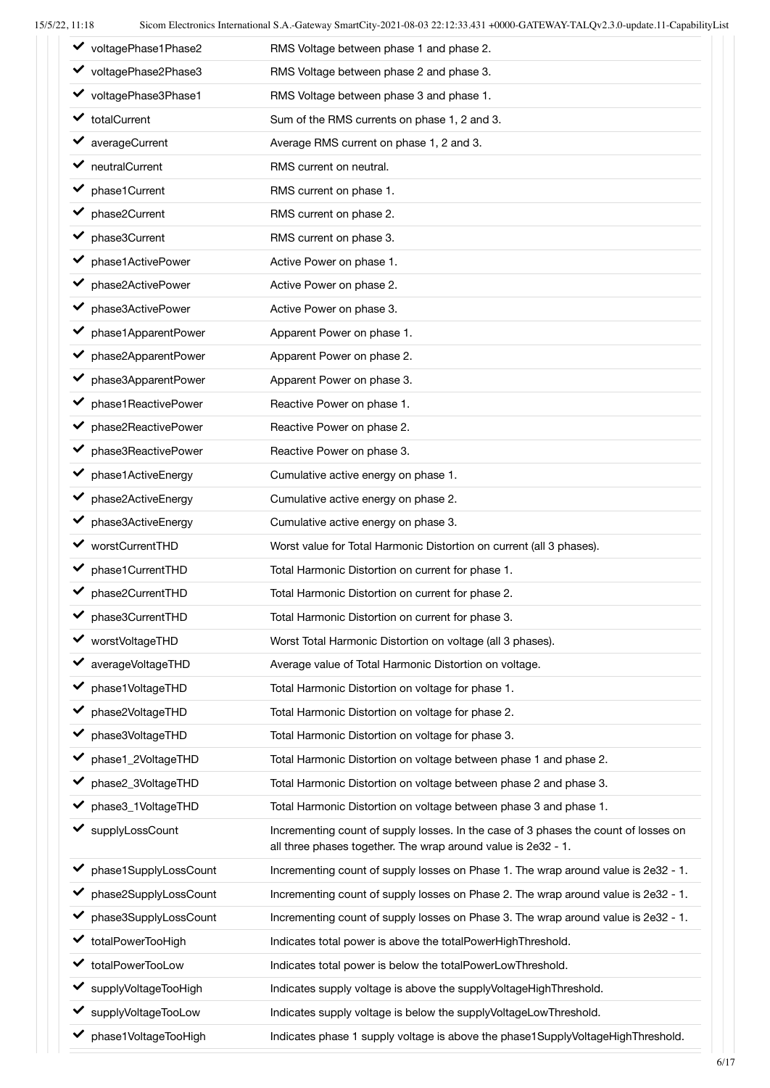| 2, 11:18                              | Sicom Electronics International S.A.-Gateway SmartCity-2021-08-03 22:12:33.431 +0000-GATEWAY-TALQV2.3.0-update.11-CapabilityLi                       |
|---------------------------------------|------------------------------------------------------------------------------------------------------------------------------------------------------|
| ◆ voltagePhase1Phase2                 | RMS Voltage between phase 1 and phase 2.                                                                                                             |
| ◆ voltagePhase2Phase3                 | RMS Voltage between phase 2 and phase 3.                                                                                                             |
| ◆ voltagePhase3Phase1                 | RMS Voltage between phase 3 and phase 1.                                                                                                             |
| v totalCurrent                        | Sum of the RMS currents on phase 1, 2 and 3.                                                                                                         |
| averageCurrent                        | Average RMS current on phase 1, 2 and 3.                                                                                                             |
| $\blacktriangleright$ neutral Current | RMS current on neutral.                                                                                                                              |
| phase1Current                         | RMS current on phase 1.                                                                                                                              |
| phase2Current                         | RMS current on phase 2.                                                                                                                              |
| phase3Current<br>✔                    | RMS current on phase 3.                                                                                                                              |
| phase1ActivePower                     | Active Power on phase 1.                                                                                                                             |
| phase2ActivePower<br>✔                | Active Power on phase 2.                                                                                                                             |
| phase3ActivePower                     | Active Power on phase 3.                                                                                                                             |
| phase1ApparentPower                   | Apparent Power on phase 1.                                                                                                                           |
| phase2ApparentPower                   | Apparent Power on phase 2.                                                                                                                           |
| phase3ApparentPower<br>✔              | Apparent Power on phase 3.                                                                                                                           |
| phase1ReactivePower                   | Reactive Power on phase 1.                                                                                                                           |
| phase2ReactivePower                   | Reactive Power on phase 2.                                                                                                                           |
| phase3ReactivePower                   | Reactive Power on phase 3.                                                                                                                           |
| phase1ActiveEnergy                    | Cumulative active energy on phase 1.                                                                                                                 |
| phase2ActiveEnergy<br>✔               | Cumulative active energy on phase 2.                                                                                                                 |
| phase3ActiveEnergy<br>✓               | Cumulative active energy on phase 3.                                                                                                                 |
| worstCurrentTHD                       | Worst value for Total Harmonic Distortion on current (all 3 phases).                                                                                 |
| phase1CurrentTHD                      | Total Harmonic Distortion on current for phase 1.                                                                                                    |
| phase2CurrentTHD                      | Total Harmonic Distortion on current for phase 2.                                                                                                    |
| phase3CurrentTHD                      | Total Harmonic Distortion on current for phase 3.                                                                                                    |
| worstVoltageTHD                       | Worst Total Harmonic Distortion on voltage (all 3 phases).                                                                                           |
| averageVoltageTHD                     | Average value of Total Harmonic Distortion on voltage.                                                                                               |
| phase1VoltageTHD                      | Total Harmonic Distortion on voltage for phase 1.                                                                                                    |
| phase2VoltageTHD<br>✔                 | Total Harmonic Distortion on voltage for phase 2.                                                                                                    |
| phase3VoltageTHD                      | Total Harmonic Distortion on voltage for phase 3.                                                                                                    |
| phase1_2VoltageTHD                    | Total Harmonic Distortion on voltage between phase 1 and phase 2.                                                                                    |
| phase2_3VoltageTHD                    | Total Harmonic Distortion on voltage between phase 2 and phase 3.                                                                                    |
| phase3_1VoltageTHD                    | Total Harmonic Distortion on voltage between phase 3 and phase 1.                                                                                    |
| supplyLossCount                       | Incrementing count of supply losses. In the case of 3 phases the count of losses on<br>all three phases together. The wrap around value is 2e32 - 1. |
| phase1SupplyLossCount                 | Incrementing count of supply losses on Phase 1. The wrap around value is 2e32 - 1.                                                                   |
| phase2SupplyLossCount                 | Incrementing count of supply losses on Phase 2. The wrap around value is 2e32 - 1.                                                                   |
| phase3SupplyLossCount<br>✔            | Incrementing count of supply losses on Phase 3. The wrap around value is 2e32 - 1.                                                                   |
| totalPowerTooHigh                     | Indicates total power is above the totalPowerHighThreshold.                                                                                          |
| totalPowerTooLow                      | Indicates total power is below the totalPowerLowThreshold.                                                                                           |
| supplyVoltageTooHigh                  | Indicates supply voltage is above the supplyVoltageHighThreshold.                                                                                    |
| supplyVoltageTooLow                   | Indicates supply voltage is below the supplyVoltageLowThreshold.                                                                                     |
| phase1VoltageTooHigh                  | Indicates phase 1 supply voltage is above the phase1SupplyVoltageHighThreshold.                                                                      |
|                                       |                                                                                                                                                      |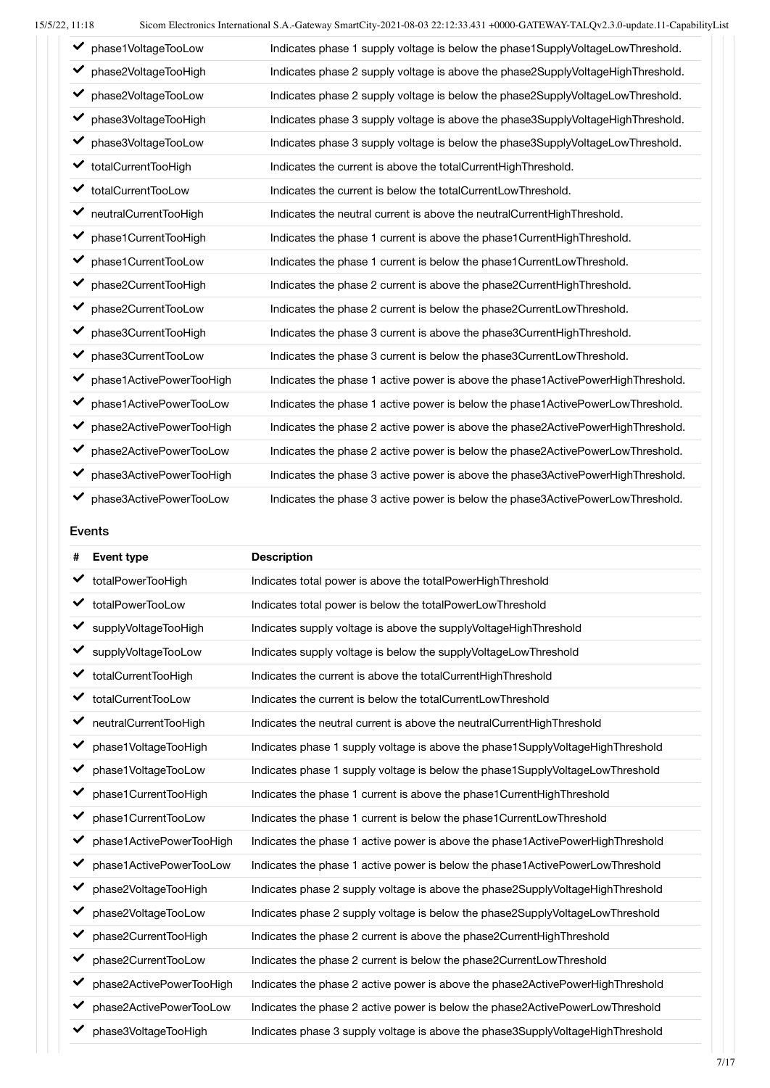| phase1VoltageTooLow                 | Indicates phase 1 supply voltage is below the phase1SupplyVoltageLowThreshold.  |
|-------------------------------------|---------------------------------------------------------------------------------|
| ✓<br>phase2VoltageTooHigh           | Indicates phase 2 supply voltage is above the phase2SupplyVoltageHighThreshold. |
| ◆ phase2VoltageTooLow               | Indicates phase 2 supply voltage is below the phase2SupplyVoltageLowThreshold.  |
| ◆ phase3VoltageTooHigh              | Indicates phase 3 supply voltage is above the phase3SupplyVoltageHighThreshold. |
| phase3VoltageTooLow<br>$\checkmark$ | Indicates phase 3 supply voltage is below the phase3SupplyVoltageLowThreshold.  |
| ← totalCurrentTooHigh               | Indicates the current is above the totalCurrentHighThreshold.                   |
| totalCurrentTooLow<br>✔             | Indicates the current is below the totalCurrentLowThreshold.                    |
| ← neutralCurrentTooHigh             | Indicates the neutral current is above the neutralCurrentHighThreshold.         |
| phase1CurrentTooHigh<br>✔           | Indicates the phase 1 current is above the phase1CurrentHighThreshold.          |
| ← phase1CurrentTooLow               | Indicates the phase 1 current is below the phase1 Current Low Threshold.        |
| ◆ phase2CurrentTooHigh              | Indicates the phase 2 current is above the phase2CurrentHighThreshold.          |
| ◆ phase2CurrentTooLow               | Indicates the phase 2 current is below the phase2CurrentLowThreshold.           |
| phase3CurrentTooHigh<br>✔           | Indicates the phase 3 current is above the phase3CurrentHighThreshold.          |
| ← phase3CurrentTooLow               | Indicates the phase 3 current is below the phase3CurrentLowThreshold.           |
| phase1ActivePowerTooHigh<br>✔       | Indicates the phase 1 active power is above the phase1ActivePowerHighThreshold. |
| phase1ActivePowerTooLow<br>✔        | Indicates the phase 1 active power is below the phase1ActivePowerLowThreshold.  |
| phase2ActivePowerTooHigh<br>✔       | Indicates the phase 2 active power is above the phase2ActivePowerHighThreshold. |
| phase2ActivePowerTooLow             | Indicates the phase 2 active power is below the phase2ActivePowerLowThreshold.  |
| phase3ActivePowerTooHigh<br>✔       | Indicates the phase 3 active power is above the phase3ActivePowerHighThreshold. |
| phase3ActivePowerTooLow<br>✔        | Indicates the phase 3 active power is below the phase3ActivePowerLowThreshold.  |

#### Events

| # | <b>Event type</b>        | <b>Description</b>                                                             |
|---|--------------------------|--------------------------------------------------------------------------------|
| ✓ | totalPowerTooHigh        | Indicates total power is above the totalPowerHighThreshold                     |
| ✓ | totalPowerTooLow         | Indicates total power is below the totalPowerLowThreshold                      |
| ✓ | supplyVoltageTooHigh     | Indicates supply voltage is above the supplyVoltageHighThreshold               |
| ✔ | supplyVoltageTooLow      | Indicates supply voltage is below the supplyVoltageLowThreshold                |
|   | totalCurrentTooHigh      | Indicates the current is above the totalCurrentHighThreshold                   |
| ✓ | totalCurrentTooLow       | Indicates the current is below the totalCurrentLowThreshold                    |
| ✓ | neutralCurrentTooHigh    | Indicates the neutral current is above the neutralCurrentHighThreshold         |
| ✓ | phase1VoltageTooHigh     | Indicates phase 1 supply voltage is above the phase1SupplyVoltageHighThreshold |
| ✔ | phase1VoltageTooLow      | Indicates phase 1 supply voltage is below the phase1SupplyVoltageLowThreshold  |
| ✓ | phase1CurrentTooHigh     | Indicates the phase 1 current is above the phase1 Current High Threshold       |
| ✔ | phase1CurrentTooLow      | Indicates the phase 1 current is below the phase1CurrentLowThreshold           |
| ✓ | phase1ActivePowerTooHigh | Indicates the phase 1 active power is above the phase1ActivePowerHighThreshold |
| ✓ | phase1ActivePowerTooLow  | Indicates the phase 1 active power is below the phase1ActivePowerLowThreshold  |
| ✓ | phase2VoltageTooHigh     | Indicates phase 2 supply voltage is above the phase2SupplyVoltageHighThreshold |
| ✓ | phase2VoltageTooLow      | Indicates phase 2 supply voltage is below the phase2SupplyVoltageLowThreshold  |
| ✓ | phase2CurrentTooHigh     | Indicates the phase 2 current is above the phase2CurrentHighThreshold          |
| ✓ | phase2CurrentTooLow      | Indicates the phase 2 current is below the phase2CurrentLowThreshold           |
| ✓ | phase2ActivePowerTooHigh | Indicates the phase 2 active power is above the phase2ActivePowerHighThreshold |
|   | phase2ActivePowerTooLow  | Indicates the phase 2 active power is below the phase2ActivePowerLowThreshold  |
|   | phase3VoltageTooHigh     | Indicates phase 3 supply voltage is above the phase3SupplyVoltageHighThreshold |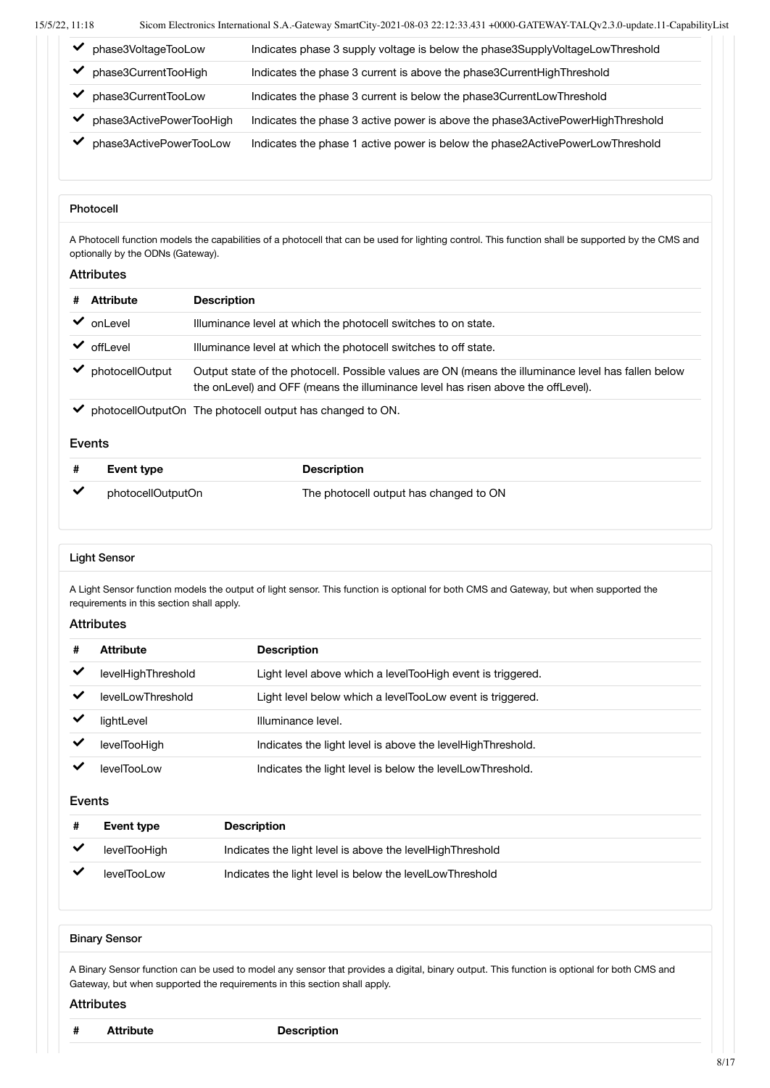| phase3VoltageTooLow      | Indicates phase 3 supply voltage is below the phase 3 Supply Voltage Low Threshold |
|--------------------------|------------------------------------------------------------------------------------|
| phase3CurrentTooHigh     | Indicates the phase 3 current is above the phase3CurrentHighThreshold              |
| phase3CurrentTooLow      | Indicates the phase 3 current is below the phase3CurrentLowThreshold               |
| phase3ActivePowerTooHigh | Indicates the phase 3 active power is above the phase3ActivePowerHighThreshold     |
| phase3ActivePowerTooLow  | Indicates the phase 1 active power is below the phase2ActivePowerLowThreshold      |

#### Photocell

A Photocell function models the capabilities of a photocell that can be used for lighting control. This function shall be supported by the CMS and optionally by the ODNs (Gateway).

#### Attributes

| <b>Attribute</b> | <b>Description</b>                                                                                                                                                                      |
|------------------|-----------------------------------------------------------------------------------------------------------------------------------------------------------------------------------------|
|                  | Illuminance level at which the photocell switches to on state.                                                                                                                          |
|                  | Illuminance level at which the photocell switches to off state.                                                                                                                         |
| photocellOutput  | Output state of the photocell. Possible values are ON (means the illuminance level has fallen below<br>the onLevel) and OFF (means the illuminance level has risen above the offLevel). |
|                  | onLevel<br>offLevel                                                                                                                                                                     |

photocellOutputOn The photocell output has changed to ON.

#### Events

| Event type        | <b>Description</b>                     |
|-------------------|----------------------------------------|
| photocellOutputOn | The photocell output has changed to ON |

#### Light Sensor

A Light Sensor function models the output of light sensor. This function is optional for both CMS and Gateway, but when supported the requirements in this section shall apply.

#### **Attributes**

| #            | Attribute          | <b>Description</b>                                           |
|--------------|--------------------|--------------------------------------------------------------|
| $\checkmark$ | levelHighThreshold | Light level above which a levelTooHigh event is triggered.   |
|              | levelLowThreshold  | Light level below which a levelTooLow event is triggered.    |
|              | lightLevel         | Illuminance level.                                           |
|              | levelTooHigh       | Indicates the light level is above the level High Threshold. |
|              | levelTool ow       | Indicates the light level is below the levelLowThreshold.    |

#### Events

| Event type   | <b>Description</b>                                          |
|--------------|-------------------------------------------------------------|
| levelTooHigh | Indicates the light level is above the level High Threshold |
| levelTooLow  | Indicates the light level is below the levelLowThreshold    |

#### Binary Sensor

A Binary Sensor function can be used to model any sensor that provides a digital, binary output. This function is optional for both CMS and Gateway, but when supported the requirements in this section shall apply.

#### **Attributes**

**# Attribute Description**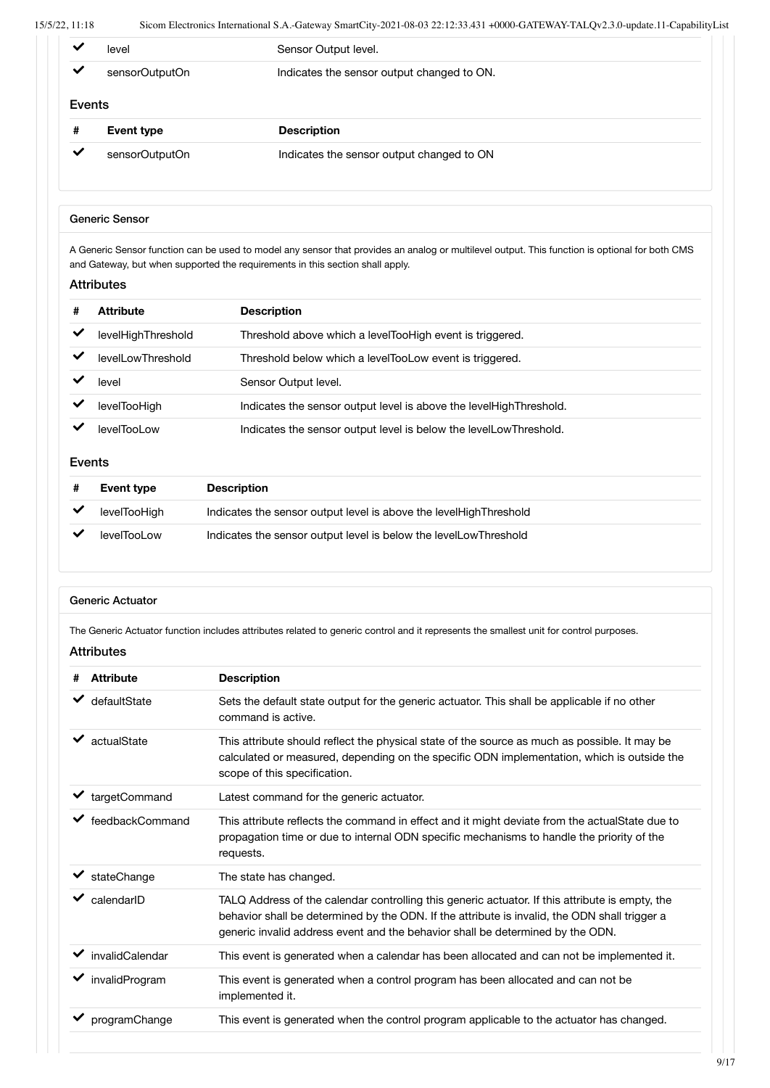| ◡            | level             | Sensor Output level.                       |
|--------------|-------------------|--------------------------------------------|
| $\checkmark$ | sensorOutputOn    | Indicates the sensor output changed to ON. |
| Events       |                   |                                            |
|              |                   |                                            |
| #            | <b>Event type</b> | <b>Description</b>                         |
| $\checkmark$ | sensorOutputOn    | Indicates the sensor output changed to ON  |

#### Generic Sensor

A Generic Sensor function can be used to model any sensor that provides an analog or multilevel output. This function is optional for both CMS and Gateway, but when supported the requirements in this section shall apply.

#### Attributes

| <b>Attribute</b>   | <b>Description</b>                                                   |
|--------------------|----------------------------------------------------------------------|
| levelHighThreshold | Threshold above which a levelTooHigh event is triggered.             |
| levelLowThreshold  | Threshold below which a levelTooLow event is triggered.              |
| level              | Sensor Output level.                                                 |
| levelTooHigh       | Indicates the sensor output level is above the level High Threshold. |
| levelTool ow       | Indicates the sensor output level is below the level Low Threshold.  |

#### Events

| Event type   | <b>Description</b>                                                  |
|--------------|---------------------------------------------------------------------|
| levelTooHigh | Indicates the sensor output level is above the level High Threshold |
| levelTooLow  | Indicates the sensor output level is below the level Low Threshold  |

#### Generic Actuator

The Generic Actuator function includes attributes related to generic control and it represents the smallest unit for control purposes.

| # | <b>Attribute</b> | <b>Description</b>                                                                                                                                                                                                                                                                 |
|---|------------------|------------------------------------------------------------------------------------------------------------------------------------------------------------------------------------------------------------------------------------------------------------------------------------|
|   | defaultState     | Sets the default state output for the generic actuator. This shall be applicable if no other<br>command is active.                                                                                                                                                                 |
|   | actualState      | This attribute should reflect the physical state of the source as much as possible. It may be<br>calculated or measured, depending on the specific ODN implementation, which is outside the<br>scope of this specification.                                                        |
|   | targetCommand    | Latest command for the generic actuator.                                                                                                                                                                                                                                           |
|   | feedbackCommand  | This attribute reflects the command in effect and it might deviate from the actual State due to<br>propagation time or due to internal ODN specific mechanisms to handle the priority of the<br>requests.                                                                          |
|   | stateChange      | The state has changed.                                                                                                                                                                                                                                                             |
|   | calendarID       | TALQ Address of the calendar controlling this generic actuator. If this attribute is empty, the<br>behavior shall be determined by the ODN. If the attribute is invalid, the ODN shall trigger a<br>generic invalid address event and the behavior shall be determined by the ODN. |
|   | invalidCalendar  | This event is generated when a calendar has been allocated and can not be implemented it.                                                                                                                                                                                          |
|   | invalidProgram   | This event is generated when a control program has been allocated and can not be<br>implemented it.                                                                                                                                                                                |
|   | programChange    | This event is generated when the control program applicable to the actuator has changed.                                                                                                                                                                                           |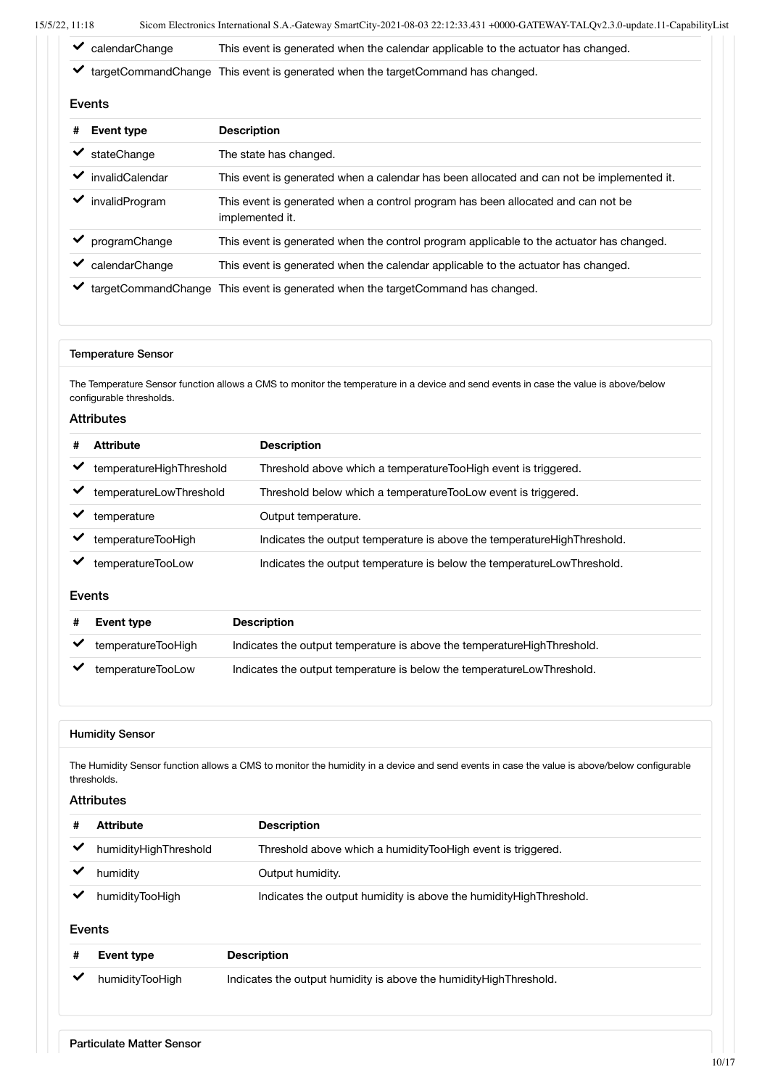| $\blacktriangleright$ calendarChange | This event is generated when the calendar applicable to the actuator has changed. |
|--------------------------------------|-----------------------------------------------------------------------------------|
|                                      |                                                                                   |

targetCommandChange This event is generated when the targetCommand has changed.

#### Events

|   | елиз            |                                                                                                     |  |
|---|-----------------|-----------------------------------------------------------------------------------------------------|--|
| # | Event type      | <b>Description</b>                                                                                  |  |
|   | stateChange     | The state has changed.                                                                              |  |
|   | invalidCalendar | This event is generated when a calendar has been allocated and can not be implemented it.           |  |
|   | invalidProgram  | This event is generated when a control program has been allocated and can not be<br>implemented it. |  |
|   | programChange   | This event is generated when the control program applicable to the actuator has changed.            |  |
|   | calendarChange  | This event is generated when the calendar applicable to the actuator has changed.                   |  |
|   |                 | targetCommandChange This event is generated when the targetCommand has changed.                     |  |

#### Temperature Sensor

The Temperature Sensor function allows a CMS to monitor the temperature in a device and send events in case the value is above/below configurable thresholds.

#### Attributes

| # | <b>Attribute</b>         | <b>Description</b>                                                      |
|---|--------------------------|-------------------------------------------------------------------------|
|   | temperatureHighThreshold | Threshold above which a temperatureTooHigh event is triggered.          |
|   | temperatureLowThreshold  | Threshold below which a temperatureTooLow event is triggered.           |
|   | temperature              | Output temperature.                                                     |
|   | temperatureTooHigh       | Indicates the output temperature is above the temperatureHighThreshold. |
|   | temperatureTooLow        | Indicates the output temperature is below the temperatureLowThreshold.  |

#### Events

| Event type         | <b>Description</b>                                                        |
|--------------------|---------------------------------------------------------------------------|
| temperatureTooHigh | Indicates the output temperature is above the temperature High Threshold. |
| temperatureTooLow  | Indicates the output temperature is below the temperatureLowThreshold.    |

#### Humidity Sensor

The Humidity Sensor function allows a CMS to monitor the humidity in a device and send events in case the value is above/below configurable thresholds.

#### Attributes

| <b>Attribute</b>      | <b>Description</b>                                                  |
|-----------------------|---------------------------------------------------------------------|
| humidityHighThreshold | Threshold above which a humidityTooHigh event is triggered.         |
| humidity              | Output humidity.                                                    |
| humidityTooHigh       | Indicates the output humidity is above the humidity High Threshold. |

#### Events

| # | Event type      | <b>Description</b>                                                  |
|---|-----------------|---------------------------------------------------------------------|
|   | humidityTooHigh | Indicates the output humidity is above the humidity High Threshold. |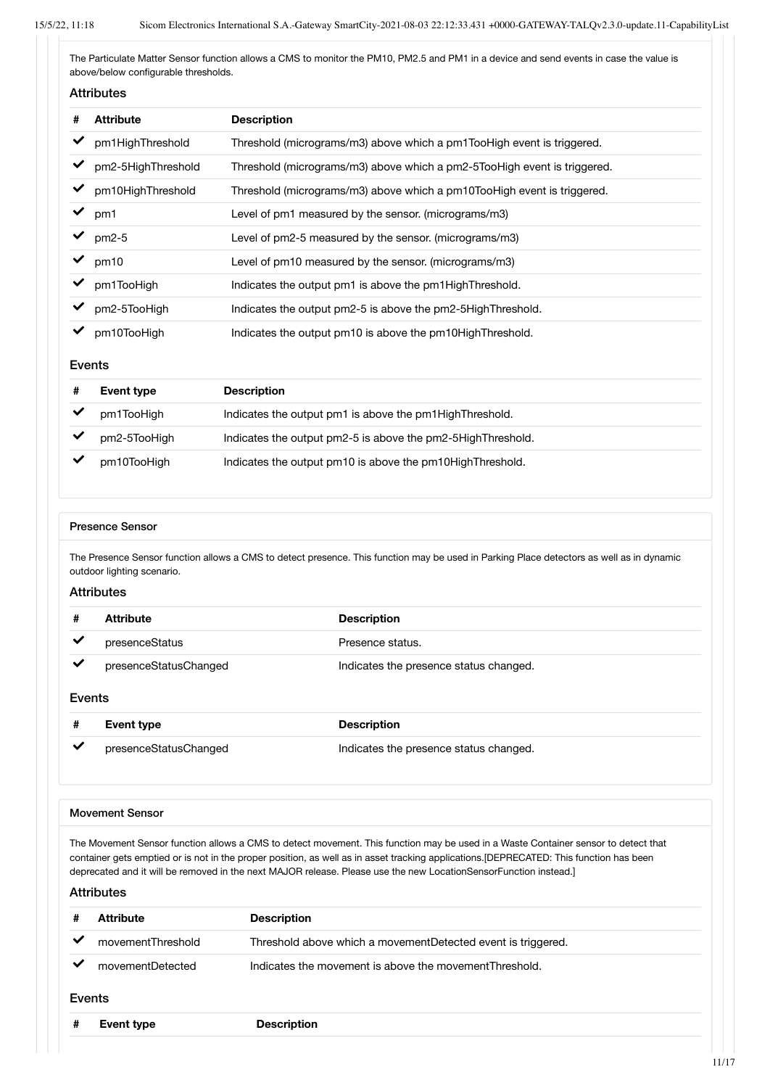The Particulate Matter Sensor function allows a CMS to monitor the PM10, PM2.5 and PM1 in a device and send events in case the value is above/below configurable thresholds.

#### Attributes

| # | <b>Attribute</b>   | <b>Description</b>                                                       |
|---|--------------------|--------------------------------------------------------------------------|
|   | pm1HighThreshold   | Threshold (micrograms/m3) above which a pm1TooHigh event is triggered.   |
|   | pm2-5HighThreshold | Threshold (micrograms/m3) above which a pm2-5TooHigh event is triggered. |
|   | pm10HighThreshold  | Threshold (micrograms/m3) above which a pm10TooHigh event is triggered.  |
|   | pm1                | Level of pm1 measured by the sensor. (micrograms/m3)                     |
|   | $pm2-5$            | Level of pm2-5 measured by the sensor. (micrograms/m3)                   |
|   | pm10               | Level of pm10 measured by the sensor. (micrograms/m3)                    |
|   | pm1TooHigh         | Indicates the output pm1 is above the pm1HighThreshold.                  |
|   | pm2-5TooHigh       | Indicates the output pm2-5 is above the pm2-5HighThreshold.              |
|   | pm10TooHigh        | Indicates the output pm10 is above the pm10HighThreshold.                |

#### Events

| Event type   | <b>Description</b>                                          |
|--------------|-------------------------------------------------------------|
| pm1TooHigh   | Indicates the output pm1 is above the pm1HighThreshold.     |
| pm2-5TooHigh | Indicates the output pm2-5 is above the pm2-5HighThreshold. |
| pm10TooHigh  | Indicates the output pm10 is above the pm10HighThreshold.   |

#### Presence Sensor

The Presence Sensor function allows a CMS to detect presence. This function may be used in Parking Place detectors as well as in dynamic outdoor lighting scenario.

#### **Attributes**

|   | Attribute             | <b>Description</b>                     |
|---|-----------------------|----------------------------------------|
|   | presenceStatus        | Presence status.                       |
| ✔ | presenceStatusChanged | Indicates the presence status changed. |

#### Events

|              | Event type            | <b>Description</b>                     |
|--------------|-----------------------|----------------------------------------|
| $\checkmark$ | presenceStatusChanged | Indicates the presence status changed. |

#### Movement Sensor

The Movement Sensor function allows a CMS to detect movement. This function may be used in a Waste Container sensor to detect that container gets emptied or is not in the proper position, as well as in asset tracking applications.[DEPRECATED: This function has been deprecated and it will be removed in the next MAJOR release. Please use the new LocationSensorFunction instead.]

| Attribute         | <b>Description</b>                                           |  |
|-------------------|--------------------------------------------------------------|--|
| movementThreshold | Threshold above which a movementDetected event is triggered. |  |
| movementDetected  | Indicates the movement is above the movement Threshold.      |  |
| Events            |                                                              |  |
| <b>Event type</b> | <b>Description</b>                                           |  |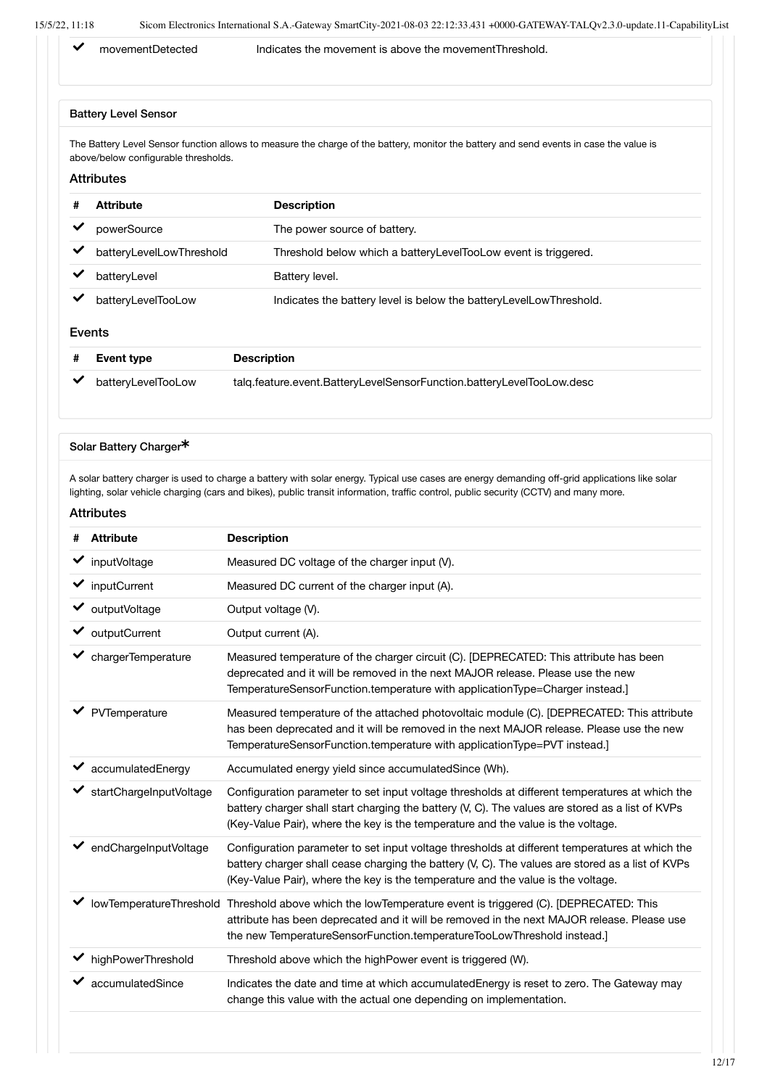◆ movementDetected Indicates the movement is above the movementThreshold.

#### Battery Level Sensor

The Battery Level Sensor function allows to measure the charge of the battery, monitor the battery and send events in case the value is above/below configurable thresholds.

#### Attributes

| #      | <b>Attribute</b>         | <b>Description</b>                                                    |
|--------|--------------------------|-----------------------------------------------------------------------|
|        | powerSource              | The power source of battery.                                          |
|        | batteryLevelLowThreshold | Threshold below which a batteryLevelTooLow event is triggered.        |
|        | batteryLevel             | Battery level.                                                        |
|        | batteryLevelTooLow       | Indicates the battery level is below the battery Level Low Threshold. |
| Events |                          |                                                                       |

| <b>Event type</b>  | <b>Description</b>                                                    |
|--------------------|-----------------------------------------------------------------------|
| batteryLevelTooLow | talg.feature.event.BatteryLevelSensorFunction.batteryLevelTooLow.desc |

#### Solar Battery Charger<sup>\*</sup>

A solar battery charger is used to charge a battery with solar energy. Typical use cases are energy demanding off-grid applications like solar lighting, solar vehicle charging (cars and bikes), public transit information, traffic control, public security (CCTV) and many more.

| # | <b>Attribute</b>                    | <b>Description</b>                                                                                                                                                                                                                                                                     |
|---|-------------------------------------|----------------------------------------------------------------------------------------------------------------------------------------------------------------------------------------------------------------------------------------------------------------------------------------|
|   | $\blacktriangleright$ inputVoltage  | Measured DC voltage of the charger input (V).                                                                                                                                                                                                                                          |
|   | $\blacktriangleright$ inputCurrent  | Measured DC current of the charger input (A).                                                                                                                                                                                                                                          |
|   | $\vee$ output Voltage               | Output voltage (V).                                                                                                                                                                                                                                                                    |
|   | $\mathbf{\checkmark}$ outputCurrent | Output current (A).                                                                                                                                                                                                                                                                    |
|   | chargerTemperature                  | Measured temperature of the charger circuit (C). [DEPRECATED: This attribute has been<br>deprecated and it will be removed in the next MAJOR release. Please use the new<br>TemperatureSensorFunction.temperature with applicationType=Charger instead.]                               |
|   | PVTemperature                       | Measured temperature of the attached photovoltaic module (C). [DEPRECATED: This attribute<br>has been deprecated and it will be removed in the next MAJOR release. Please use the new<br>TemperatureSensorFunction.temperature with applicationType=PVT instead.]                      |
|   | accumulatedEnergy                   | Accumulated energy yield since accumulated Since (Wh).                                                                                                                                                                                                                                 |
|   | startChargeInputVoltage             | Configuration parameter to set input voltage thresholds at different temperatures at which the<br>battery charger shall start charging the battery (V, C). The values are stored as a list of KVPs<br>(Key-Value Pair), where the key is the temperature and the value is the voltage. |
|   | endChargeInputVoltage               | Configuration parameter to set input voltage thresholds at different temperatures at which the<br>battery charger shall cease charging the battery (V, C). The values are stored as a list of KVPs<br>(Key-Value Pair), where the key is the temperature and the value is the voltage. |
|   |                                     | lowTemperatureThreshold Threshold above which the lowTemperature event is triggered (C). [DEPRECATED: This<br>attribute has been deprecated and it will be removed in the next MAJOR release. Please use<br>the new TemperatureSensorFunction.temperatureTooLowThreshold instead.]     |
|   | ← highPowerThreshold                | Threshold above which the highPower event is triggered (W).                                                                                                                                                                                                                            |
|   | accumulatedSince                    | Indicates the date and time at which accumulated Energy is reset to zero. The Gateway may<br>change this value with the actual one depending on implementation.                                                                                                                        |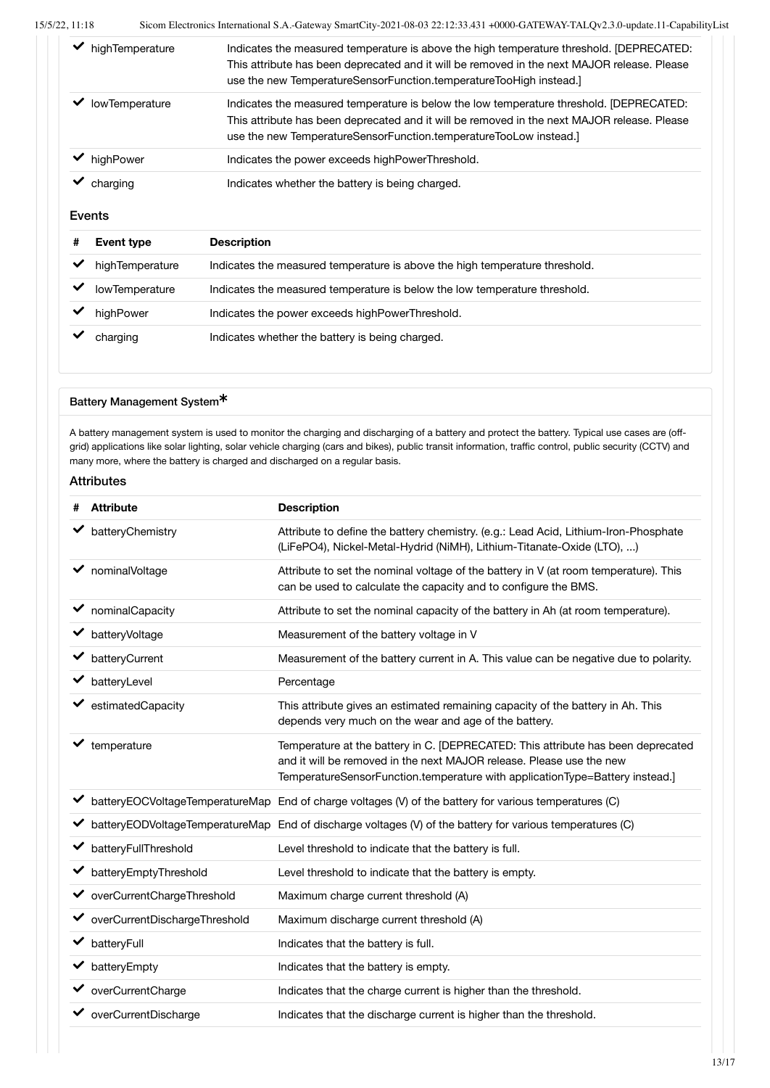| highTemperature       | Indicates the measured temperature is above the high temperature threshold. [DEPRECATED:<br>This attribute has been deprecated and it will be removed in the next MAJOR release. Please<br>use the new TemperatureSensorFunction.temperatureTooHigh instead. |
|-----------------------|--------------------------------------------------------------------------------------------------------------------------------------------------------------------------------------------------------------------------------------------------------------|
| <b>lowTemperature</b> | Indicates the measured temperature is below the low temperature threshold. [DEPRECATED:<br>This attribute has been deprecated and it will be removed in the next MAJOR release. Please<br>use the new TemperatureSensorFunction.temperatureTooLow instead.]  |
| highPower             | Indicates the power exceeds highPowerThreshold.                                                                                                                                                                                                              |
| charging              | Indicates whether the battery is being charged.                                                                                                                                                                                                              |

#### Events

| Event type            | <b>Description</b>                                                          |  |
|-----------------------|-----------------------------------------------------------------------------|--|
| highTemperature       | Indicates the measured temperature is above the high temperature threshold. |  |
| <b>lowTemperature</b> | Indicates the measured temperature is below the low temperature threshold.  |  |
| highPower             | Indicates the power exceeds highPowerThreshold.                             |  |
| charging              | Indicates whether the battery is being charged.                             |  |
|                       |                                                                             |  |

#### Battery Management System\*

A battery management system is used to monitor the charging and discharging of a battery and protect the battery. Typical use cases are (offgrid) applications like solar lighting, solar vehicle charging (cars and bikes), public transit information, traffic control, public security (CCTV) and many more, where the battery is charged and discharged on a regular basis.

| # | <b>Attribute</b>                         | <b>Description</b>                                                                                                                                                                                                                       |
|---|------------------------------------------|------------------------------------------------------------------------------------------------------------------------------------------------------------------------------------------------------------------------------------------|
|   | batteryChemistry                         | Attribute to define the battery chemistry. (e.g.: Lead Acid, Lithium-Iron-Phosphate<br>(LiFePO4), Nickel-Metal-Hydrid (NiMH), Lithium-Titanate-Oxide (LTO), )                                                                            |
|   | nominalVoltage                           | Attribute to set the nominal voltage of the battery in V (at room temperature). This<br>can be used to calculate the capacity and to configure the BMS.                                                                                  |
|   | $\blacktriangleright$ nominal Capacity   | Attribute to set the nominal capacity of the battery in Ah (at room temperature).                                                                                                                                                        |
|   | batteryVoltage                           | Measurement of the battery voltage in V                                                                                                                                                                                                  |
|   | ← batteryCurrent                         | Measurement of the battery current in A. This value can be negative due to polarity.                                                                                                                                                     |
|   | ◆ batteryLevel                           | Percentage                                                                                                                                                                                                                               |
|   | $\blacktriangleright$ estimated Capacity | This attribute gives an estimated remaining capacity of the battery in Ah. This<br>depends very much on the wear and age of the battery.                                                                                                 |
|   | $\blacktriangleright$ temperature        | Temperature at the battery in C. [DEPRECATED: This attribute has been deprecated<br>and it will be removed in the next MAJOR release. Please use the new<br>TemperatureSensorFunction.temperature with applicationType=Battery instead.] |
|   |                                          | battery EOCVoltage Temperature Map End of charge voltages (V) of the battery for various temperatures (C)                                                                                                                                |
|   |                                          | batteryEODVoltageTemperatureMap End of discharge voltages (V) of the battery for various temperatures (C)                                                                                                                                |
|   | ← batteryFullThreshold                   | Level threshold to indicate that the battery is full.                                                                                                                                                                                    |
| ✓ | batteryEmptyThreshold                    | Level threshold to indicate that the battery is empty.                                                                                                                                                                                   |
|   | ◆ overCurrentChargeThreshold             | Maximum charge current threshold (A)                                                                                                                                                                                                     |
|   | ◆ overCurrentDischargeThreshold          | Maximum discharge current threshold (A)                                                                                                                                                                                                  |
|   | $\blacktriangleright$ battery Full       | Indicates that the battery is full.                                                                                                                                                                                                      |
|   | $\blacktriangleright$ battery Empty      | Indicates that the battery is empty.                                                                                                                                                                                                     |
|   | ◆ overCurrentCharge                      | Indicates that the charge current is higher than the threshold.                                                                                                                                                                          |
|   | overCurrentDischarge                     | Indicates that the discharge current is higher than the threshold.                                                                                                                                                                       |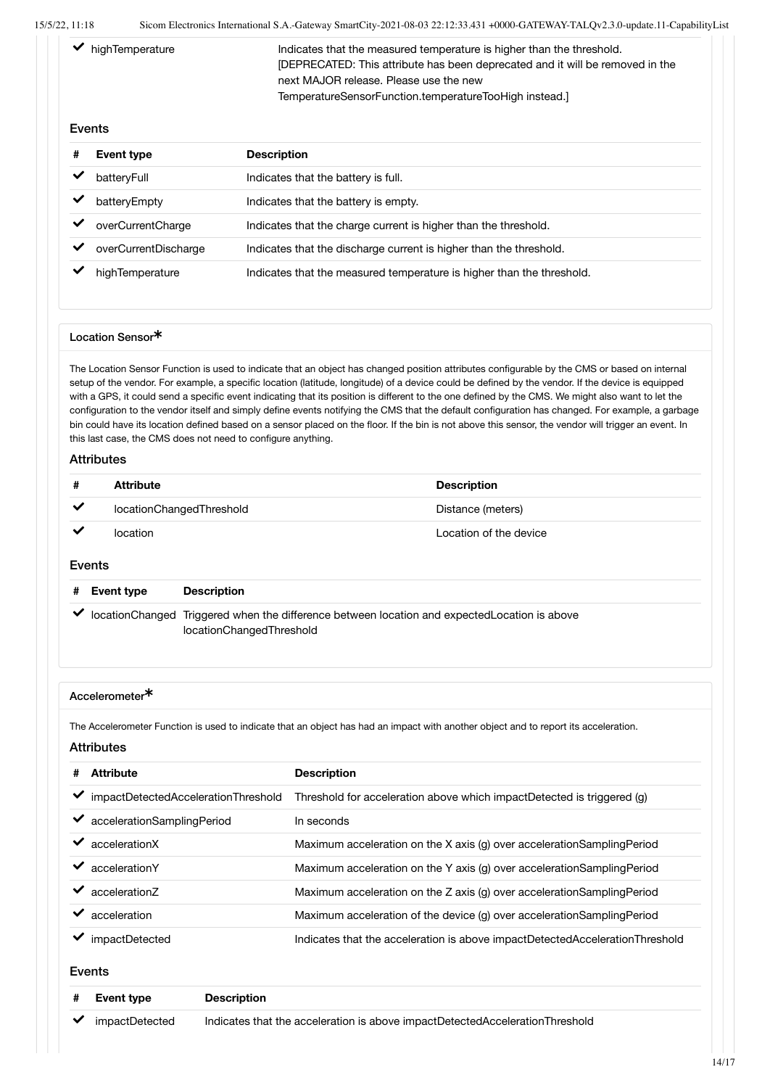$\blacktriangleright$  highTemperature Indicates that the measured temperature is higher than the threshold. [DEPRECATED: This attribute has been deprecated and it will be removed in the next MAJOR release. Please use the new TemperatureSensorFunction.temperatureTooHigh instead.]

#### Events

| # | <b>Event type</b>    | <b>Description</b>                                                    |
|---|----------------------|-----------------------------------------------------------------------|
|   | batteryFull          | Indicates that the battery is full.                                   |
|   | batteryEmpty         | Indicates that the battery is empty.                                  |
|   | overCurrentCharge    | Indicates that the charge current is higher than the threshold.       |
|   | overCurrentDischarge | Indicates that the discharge current is higher than the threshold.    |
|   | highTemperature      | Indicates that the measured temperature is higher than the threshold. |

#### Location Sensor

The Location Sensor Function is used to indicate that an object has changed position attributes configurable by the CMS or based on internal setup of the vendor. For example, a specific location (latitude, longitude) of a device could be defined by the vendor. If the device is equipped with a GPS, it could send a specific event indicating that its position is different to the one defined by the CMS. We might also want to let the configuration to the vendor itself and simply define events notifying the CMS that the default configuration has changed. For example, a garbage bin could have its location defined based on a sensor placed on the floor. If the bin is not above this sensor, the vendor will trigger an event. In this last case, the CMS does not need to configure anything.

#### **Attributes**

| #            | <b>Attribute</b>         | <b>Description</b>     |
|--------------|--------------------------|------------------------|
| $\checkmark$ | locationChangedThreshold | Distance (meters)      |
| ✔            | location                 | Location of the device |

#### Events

| # Event type | <b>Description</b>                                                                                                       |
|--------------|--------------------------------------------------------------------------------------------------------------------------|
|              | locationChanged Triggered when the difference between location and expectedLocation is above<br>locationChangedThreshold |

#### Accelerometer<sup>\*</sup>

The Accelerometer Function is used to indicate that an object has had an impact with another object and to report its acceleration.

#### Attributes

| # | <b>Attribute</b>                    | <b>Description</b>                                                           |
|---|-------------------------------------|------------------------------------------------------------------------------|
|   | impactDetectedAccelerationThreshold | Threshold for acceleration above which impactDetected is triggered (g)       |
|   | accelerationSamplingPeriod          | In seconds                                                                   |
|   | accelerationX                       | Maximum acceleration on the X axis (g) over accelerationSamplingPeriod       |
|   | accelerationY                       | Maximum acceleration on the Y axis (g) over acceleration Sampling Period     |
|   | acceleration7                       | Maximum acceleration on the Z axis (g) over accelerationSamplingPeriod       |
|   | acceleration                        | Maximum acceleration of the device (g) over accelerationSamplingPeriod       |
|   | impactDetected                      | Indicates that the acceleration is above impactDetectedAccelerationThreshold |

#### Events

| # Event type                         | <b>Description</b>                                                           |
|--------------------------------------|------------------------------------------------------------------------------|
| $\blacktriangleright$ impactDetected | Indicates that the acceleration is above impactDetectedAccelerationThreshold |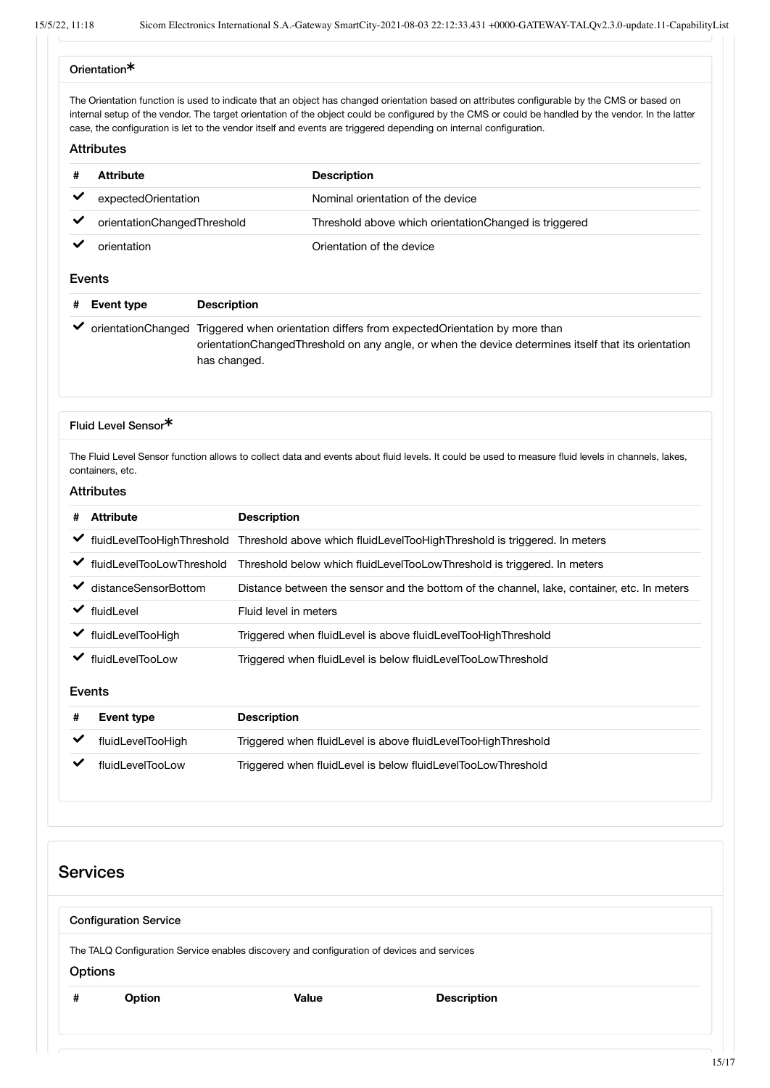#### Orientation

The Orientation function is used to indicate that an object has changed orientation based on attributes configurable by the CMS or based on internal setup of the vendor. The target orientation of the object could be configured by the CMS or could be handled by the vendor. In the latter case, the configuration is let to the vendor itself and events are triggered depending on internal configuration.

#### Attributes

| #            | <b>Attribute</b>            |                                                                                                                                                                                                                    | <b>Description</b>                                     |
|--------------|-----------------------------|--------------------------------------------------------------------------------------------------------------------------------------------------------------------------------------------------------------------|--------------------------------------------------------|
| $\checkmark$ | expectedOrientation         |                                                                                                                                                                                                                    | Nominal orientation of the device                      |
| ✔            | orientationChangedThreshold |                                                                                                                                                                                                                    | Threshold above which orientation Changed is triggered |
|              | orientation                 |                                                                                                                                                                                                                    | Orientation of the device                              |
|              | Events                      |                                                                                                                                                                                                                    |                                                        |
| #            | Event type                  | <b>Description</b>                                                                                                                                                                                                 |                                                        |
|              |                             | orientationChanged Triggered when orientation differs from expectedOrientation by more than<br>orientationChangedThreshold on any angle, or when the device determines itself that its orientation<br>has changed. |                                                        |

#### Fluid Level Sensor

The Fluid Level Sensor function allows to collect data and events about fluid levels. It could be used to measure fluid levels in channels, lakes, containers, etc.

#### Attributes

| # | <b>Attribute</b>             | <b>Description</b>                                                                         |
|---|------------------------------|--------------------------------------------------------------------------------------------|
|   | ◆ fluidLevelTooHighThreshold | Threshold above which fluidLevelTooHighThreshold is triggered. In meters                   |
|   | ← fluidLevelTooLowThreshold  | Threshold below which fluidLevelTooLowThreshold is triggered. In meters                    |
|   | distanceSensorBottom         | Distance between the sensor and the bottom of the channel, lake, container, etc. In meters |
| ✔ | fluidLevel                   | Fluid level in meters                                                                      |
| ✔ | fluidLevelTooHigh            | Triggered when fluidLevel is above fluidLevelTooHighThreshold                              |
|   | fluidLevelTooLow             | Triggered when fluidLevel is below fluidLevelTooLowThreshold                               |
|   | Events                       |                                                                                            |
| # | <b>Event type</b>            | <b>Description</b>                                                                         |
| ✓ | fluidLevelTooHigh            | Triggered when fluidLevel is above fluidLevelTooHighThreshold                              |
|   | fluidLevelTooLow             | Triggered when fluidLevel is below fluidLevelTooLowThreshold                               |

# **Services** Configuration Service The TALQ Configuration Service enables discovery and configuration of devices and services **Options # Option Value Description**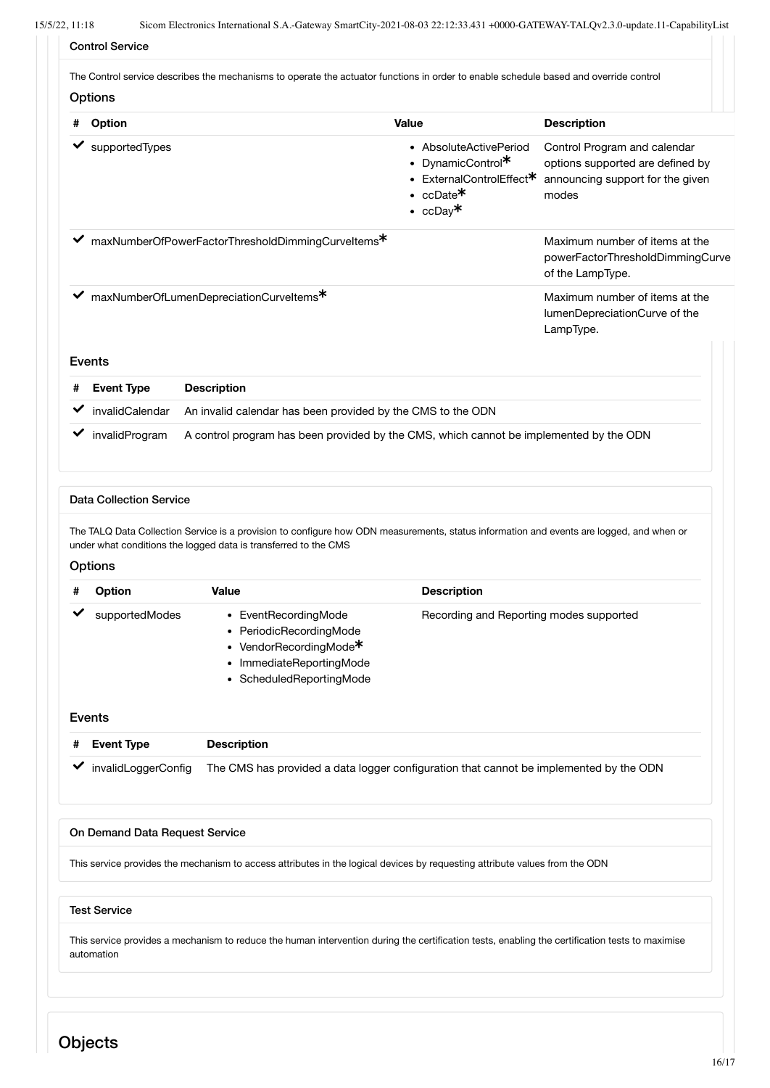|   | <b>Options</b>                        | The Control service describes the mechanisms to operate the actuator functions in order to enable schedule based and override control                                                                       |                                                                                                                  |                                                                                                               |
|---|---------------------------------------|-------------------------------------------------------------------------------------------------------------------------------------------------------------------------------------------------------------|------------------------------------------------------------------------------------------------------------------|---------------------------------------------------------------------------------------------------------------|
| # | Option                                |                                                                                                                                                                                                             | Value                                                                                                            | <b>Description</b>                                                                                            |
|   | $\blacktriangleright$ supported Types |                                                                                                                                                                                                             | • AbsoluteActivePeriod<br>• DynamicControl*<br>• ExternalControlEffect <sup>*</sup><br>• $ccDate*$<br>• $ccDay*$ | Control Program and calendar<br>options supported are defined by<br>announcing support for the given<br>modes |
|   |                                       | ← maxNumberOfPowerFactorThresholdDimmingCurveltems*                                                                                                                                                         |                                                                                                                  | Maximum number of items at the<br>powerFactorThresholdDimmingCurve<br>of the LampType.                        |
| ✔ |                                       | maxNumberOfLumenDepreciationCurveltems*                                                                                                                                                                     |                                                                                                                  | Maximum number of items at the<br>lumenDepreciationCurve of the<br>LampType.                                  |
|   | Events                                |                                                                                                                                                                                                             |                                                                                                                  |                                                                                                               |
|   | <b>Event Type</b>                     | <b>Description</b>                                                                                                                                                                                          |                                                                                                                  |                                                                                                               |
| ✔ | invalidCalendar                       | An invalid calendar has been provided by the CMS to the ODN                                                                                                                                                 |                                                                                                                  |                                                                                                               |
| ✔ | invalidProgram                        | A control program has been provided by the CMS, which cannot be implemented by the ODN                                                                                                                      |                                                                                                                  |                                                                                                               |
|   | <b>Data Collection Service</b>        | The TALQ Data Collection Service is a provision to configure how ODN measurements, status information and events are logged, and when or<br>under what conditions the logged data is transferred to the CMS |                                                                                                                  |                                                                                                               |
| # | <b>Options</b><br>Option              | Value                                                                                                                                                                                                       | <b>Description</b>                                                                                               |                                                                                                               |
|   | supportedModes                        | • EventRecordingMode<br>PeriodicRecordingMode<br>VendorRecordingMode <sup>*</sup><br>ImmediateReportingMode<br>ScheduledReportingMode                                                                       | Recording and Reporting modes supported                                                                          |                                                                                                               |
|   | Events                                |                                                                                                                                                                                                             |                                                                                                                  |                                                                                                               |
|   | <b>Event Type</b>                     | <b>Description</b>                                                                                                                                                                                          |                                                                                                                  |                                                                                                               |
| ✔ | invalidLoggerConfig                   | The CMS has provided a data logger configuration that cannot be implemented by the ODN                                                                                                                      |                                                                                                                  |                                                                                                               |
|   | On Demand Data Request Service        |                                                                                                                                                                                                             |                                                                                                                  |                                                                                                               |
|   |                                       | This service provides the mechanism to access attributes in the logical devices by requesting attribute values from the ODN                                                                                 |                                                                                                                  |                                                                                                               |
|   | <b>Test Service</b>                   |                                                                                                                                                                                                             |                                                                                                                  |                                                                                                               |